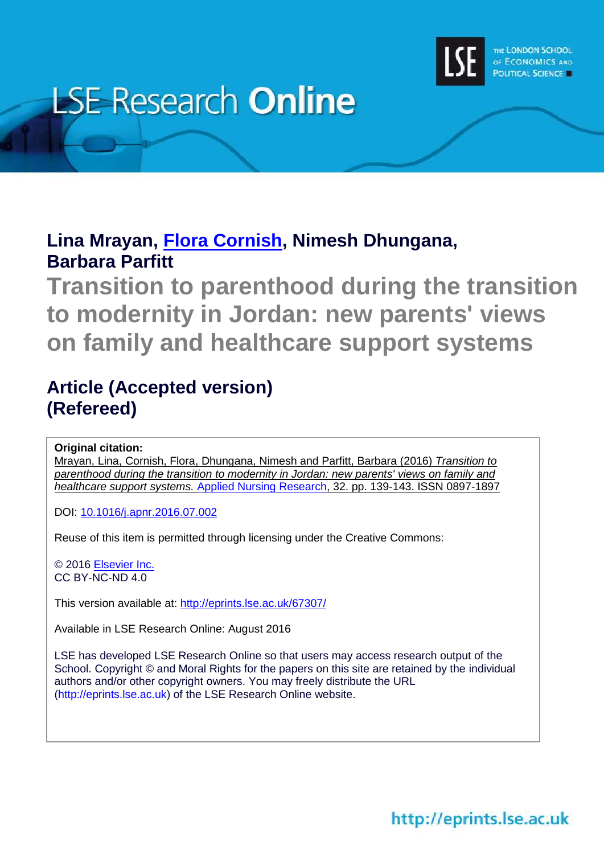

# **LSE Research Online**

**Lina Mrayan, [Flora Cornish,](http://www.lse.ac.uk/researchAndExpertise/Experts/profile.aspx?KeyValue=f.cornish@lse.ac.uk) Nimesh Dhungana, Barbara Parfitt**

**Transition to parenthood during the transition to modernity in Jordan: new parents' views on family and healthcare support systems**

# **Article (Accepted version) (Refereed)**

**Original citation:**

Mrayan, Lina, Cornish, Flora, Dhungana, Nimesh and Parfitt, Barbara (2016) *Transition to parenthood during the transition to modernity in Jordan: new parents' views on family and healthcare support systems.* [Applied Nursing Research,](http://www.journals.elsevier.com/applied-nursing-research) 32. pp. 139-143. ISSN 0897-1897

DOI: [10.1016/j.apnr.2016.07.002](http://dx.doi.org/10.1016/j.apnr.2016.07.002)

Reuse of this item is permitted through licensing under the Creative Commons:

© 2016 [Elsevier Inc.](http://www.elsevier.com/) CC BY-NC-ND 4.0

This version available at: <http://eprints.lse.ac.uk/67307/>

Available in LSE Research Online: August 2016

LSE has developed LSE Research Online so that users may access research output of the School. Copyright © and Moral Rights for the papers on this site are retained by the individual authors and/or other copyright owners. You may freely distribute the URL (http://eprints.lse.ac.uk) of the LSE Research Online website.

http://eprints.lse.ac.uk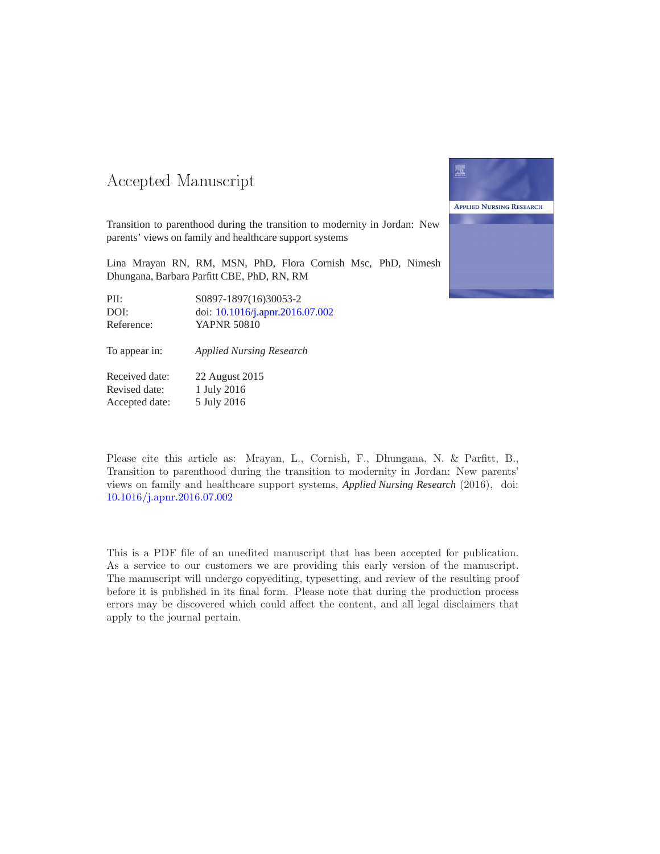### -- -

Transition to parenthood during the transition to modernity in Jordan: New parents' views on family and healthcare support systems

Lina Mrayan RN, RM, MSN, PhD, Flora Cornish Msc, PhD, Nimesh Dhungana, Barbara Parfitt CBE, PhD, RN, RM

| PII:       | S0897-1897(16)30053-2           |
|------------|---------------------------------|
| DOI:       | doi: 10.1016/j.apnr.2016.07.002 |
| Reference: | YAPNR 50810                     |

To appear in: *Applied Nursing Research*

Received date: 22 August 2015 Revised date: 1 July 2016 Accepted date: 5 July 2016



Please cite this article as: Mrayan, L., Cornish, F., Dhungana, N. & Parfitt, B., Transition to parenthood during the transition to modernity in Jordan: New parents' views on family and healthcare support systems, *Applied Nursing Research* (2016), doi: [10.1016/j.apnr.2016.07.002](http://dx.doi.org/10.1016/j.apnr.2016.07.002)

This is a PDF file of an unedited manuscript that has been accepted for publication. As a service to our customers we are providing this early version of the manuscript. The manuscript will undergo copyediting, typesetting, and review of the resulting proof before it is published in its final form. Please note that during the production process errors may be discovered which could affect the content, and all legal disclaimers that apply to the journal pertain.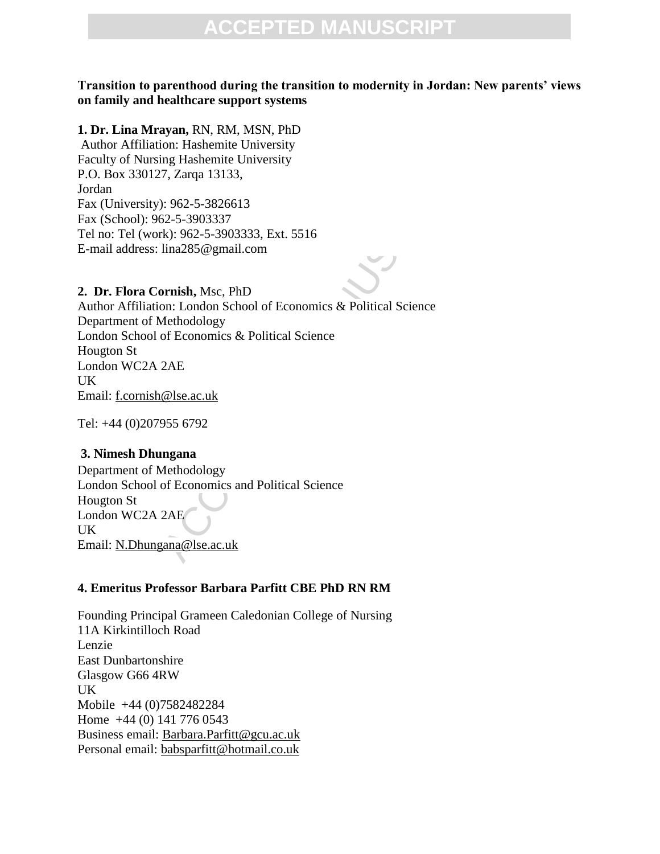### **Transition to parenthood during the transition to modernity in Jordan: New parents' views on family and healthcare support systems**

### **1. Dr. Lina Mrayan,** RN, RM, MSN, PhD

Author Affiliation: Hashemite University Faculty of Nursing Hashemite University P.O. Box 330127, Zarqa 13133, Jordan Fax (University): 962-5-3826613 Fax (School): 962-5-3903337 Tel no: Tel (work): 962-5-3903333, Ext. 5516 E-mail address: lina285@gmail.com

### **2. Dr. Flora Cornish,** Msc, PhD

ion: Hashemite University<br>ing Hashemite University<br>7, Zarqa 13133,<br>202-5-3903337<br>7xk: 962-5-3903333<br>7xk: 962-5-3903333<br>1xk: 962-5-3903333, Ext. 5516<br>lina285@gmail.com<br>**prnish**, Msc, PhD<br>**prnish**, Msc, PhD<br>**complements** & P Author Affiliation: London School of Economics & Political Science Department of Methodology London School of Economics & Political Science Hougton St London WC2A 2AE UK Email: f.cornish@lse.ac.uk

Tel: +44 (0)207955 6792

### **3. Nimesh Dhungana**

Department of Methodology London School of Economics and Political Science Hougton St London WC2A 2AE UK Email: N.Dhungana@lse.ac.uk

### **4. Emeritus Professor Barbara Parfitt CBE PhD RN RM**

Founding Principal Grameen Caledonian College of Nursing 11A Kirkintilloch Road Lenzie East Dunbartonshire Glasgow G66 4RW UK Mobile +44 (0)7582482284 Home +44 (0) 141 776 0543 Business email: Barbara.Parfitt@gcu.ac.uk Personal email: babsparfitt@hotmail.co.uk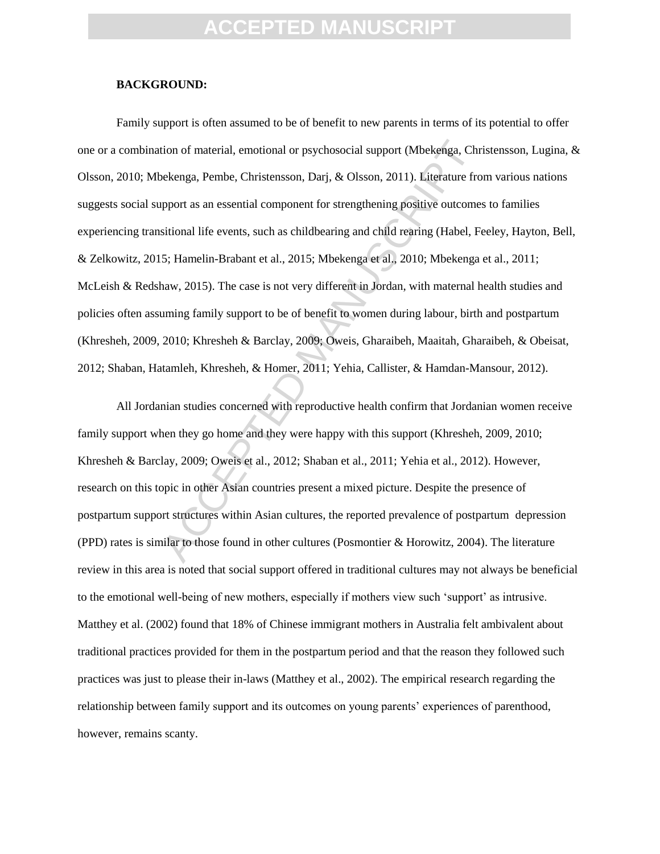#### **BACKGROUND:**

tion of material, emotional or psychosocial support (Mbckenga, Chreature from the exerge, Pembe, Christensson, Darj, & Olsson, 2011). Literature from propror as an essential component for strengthening positive outcome sit Family support is often assumed to be of benefit to new parents in terms of its potential to offer one or a combination of material, emotional or psychosocial support (Mbekenga, Christensson, Lugina, & Olsson, 2010; Mbekenga, Pembe, Christensson, Darj, & Olsson, 2011). Literature from various nations suggests social support as an essential component for strengthening positive outcomes to families experiencing transitional life events, such as childbearing and child rearing (Habel, Feeley, Hayton, Bell, & Zelkowitz, 2015; Hamelin-Brabant et al., 2015; Mbekenga et al., 2010; Mbekenga et al., 2011; McLeish & Redshaw, 2015). The case is not very different in Jordan, with maternal health studies and policies often assuming family support to be of benefit to women during labour, birth and postpartum (Khresheh, 2009, 2010; Khresheh & Barclay, 2009; Oweis, Gharaibeh, Maaitah, Gharaibeh, & Obeisat, 2012; Shaban, Hatamleh, Khresheh, & Homer, 2011; Yehia, Callister, & Hamdan-Mansour, 2012).

All Jordanian studies concerned with reproductive health confirm that Jordanian women receive family support when they go home and they were happy with this support (Khresheh, 2009, 2010; Khresheh & Barclay, 2009; Oweis et al., 2012; Shaban et al., 2011; Yehia et al., 2012). However, research on this topic in other Asian countries present a mixed picture. Despite the presence of postpartum support structures within Asian cultures, the reported prevalence of postpartum depression (PPD) rates is similar to those found in other cultures (Posmontier & Horowitz, 2004). The literature review in this area is noted that social support offered in traditional cultures may not always be beneficial to the emotional well-being of new mothers, especially if mothers view such 'support' as intrusive. Matthey et al. (2002) found that 18% of Chinese immigrant mothers in Australia felt ambivalent about traditional practices provided for them in the postpartum period and that the reason they followed such practices was just to please their in-laws (Matthey et al., 2002). The empirical research regarding the relationship between family support and its outcomes on young parents' experiences of parenthood, however, remains scanty.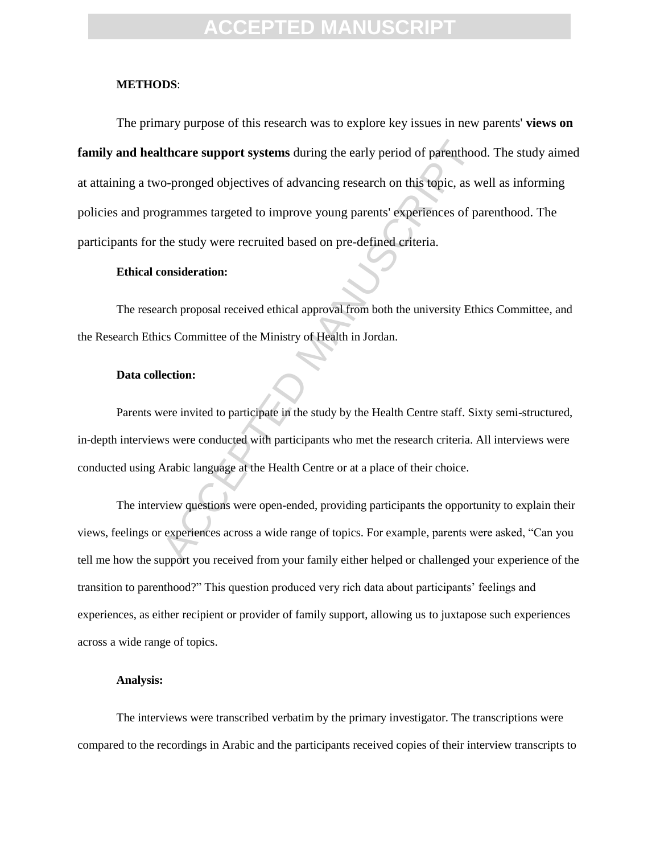### **CCEPTED MANUS**

#### **METHODS**:

**Ithcare support systems** during the early period of parenthood<br>
o-pronged objectives of advancing research on this topic, as w<br>
grammes targeted to improve young parents' experiences of pa<br>
the study were recruited based The primary purpose of this research was to explore key issues in new parents' **views on family and healthcare support systems** during the early period of parenthood. The study aimed at attaining a two-pronged objectives of advancing research on this topic, as well as informing policies and programmes targeted to improve young parents' experiences of parenthood. The participants for the study were recruited based on pre-defined criteria.

#### **Ethical consideration:**

The research proposal received ethical approval from both the university Ethics Committee, and the Research Ethics Committee of the Ministry of Health in Jordan.

#### **Data collection:**

Parents were invited to participate in the study by the Health Centre staff. Sixty semi-structured, in-depth interviews were conducted with participants who met the research criteria. All interviews were conducted using Arabic language at the Health Centre or at a place of their choice.

The interview questions were open-ended, providing participants the opportunity to explain their views, feelings or experiences across a wide range of topics. For example, parents were asked, "Can you tell me how the support you received from your family either helped or challenged your experience of the transition to parenthood?" This question produced very rich data about participants' feelings and experiences, as either recipient or provider of family support, allowing us to juxtapose such experiences across a wide range of topics.

#### **Analysis:**

The interviews were transcribed verbatim by the primary investigator. The transcriptions were compared to the recordings in Arabic and the participants received copies of their interview transcripts to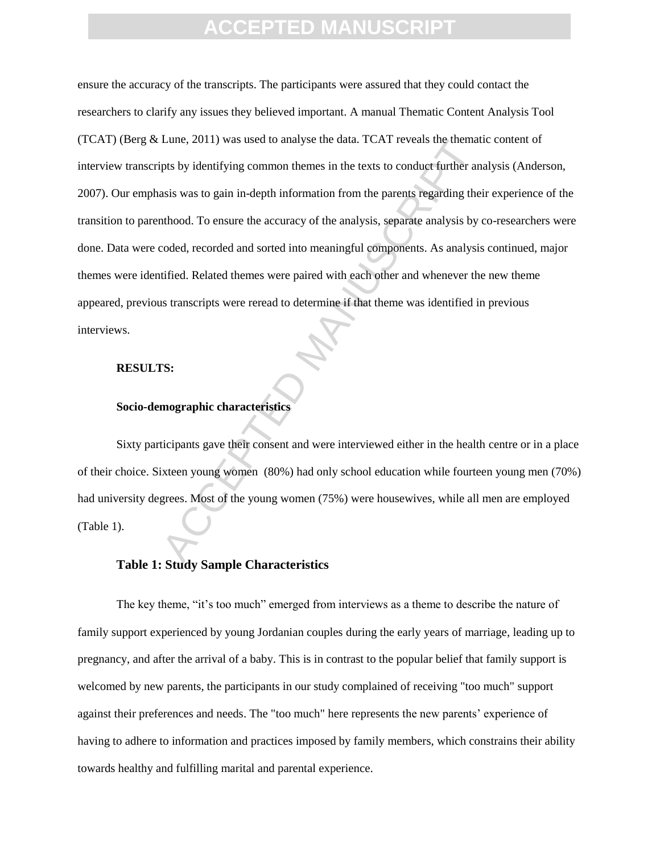Lune, 2011) was used to analyse the data. TCAT reveals the themat<br>pts by identifying common themes in the texts to conduct further an<br>asis was to gain in-depth information from the parents regarding the<br>nthood. To ensure t ensure the accuracy of the transcripts. The participants were assured that they could contact the researchers to clarify any issues they believed important. A manual Thematic Content Analysis Tool (TCAT) (Berg & Lune, 2011) was used to analyse the data. TCAT reveals the thematic content of interview transcripts by identifying common themes in the texts to conduct further analysis (Anderson, 2007). Our emphasis was to gain in-depth information from the parents regarding their experience of the transition to parenthood. To ensure the accuracy of the analysis, separate analysis by co-researchers were done. Data were coded, recorded and sorted into meaningful components. As analysis continued, major themes were identified. Related themes were paired with each other and whenever the new theme appeared, previous transcripts were reread to determine if that theme was identified in previous interviews.

#### **RESULTS:**

#### **Socio-demographic characteristics**

Sixty participants gave their consent and were interviewed either in the health centre or in a place of their choice. Sixteen young women (80%) had only school education while fourteen young men (70%) had university degrees. Most of the young women (75%) were housewives, while all men are employed (Table 1).

### **Table 1: Study Sample Characteristics**

The key theme, "it's too much" emerged from interviews as a theme to describe the nature of family support experienced by young Jordanian couples during the early years of marriage, leading up to pregnancy, and after the arrival of a baby. This is in contrast to the popular belief that family support is welcomed by new parents, the participants in our study complained of receiving "too much" support against their preferences and needs. The "too much" here represents the new parents' experience of having to adhere to information and practices imposed by family members, which constrains their ability towards healthy and fulfilling marital and parental experience.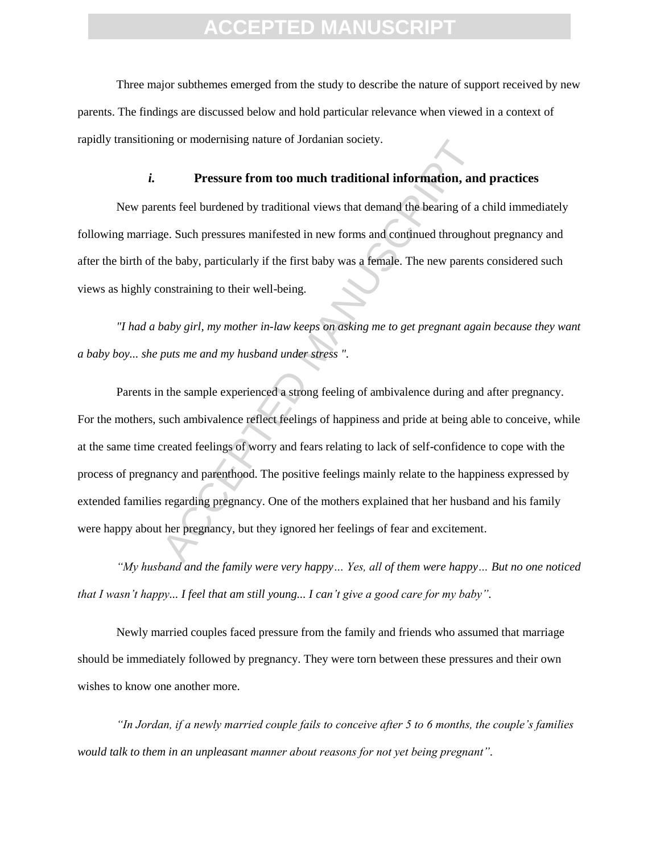Three major subthemes emerged from the study to describe the nature of support received by new parents. The findings are discussed below and hold particular relevance when viewed in a context of rapidly transitioning or modernising nature of Jordanian society.

### *i.* **Pressure from too much traditional information, and practices**

New parents feel burdened by traditional views that demand the bearing of a child immediately following marriage. Such pressures manifested in new forms and continued throughout pregnancy and after the birth of the baby, particularly if the first baby was a female. The new parents considered such views as highly constraining to their well-being.

*"I had a baby girl, my mother in-law keeps on asking me to get pregnant again because they want a baby boy... she puts me and my husband under stress ".* 

many or modernising nature or Jordanian society.<br> **Pressure from too much traditional information, and**<br>
tends feel burdened by traditional views that demand the bearing of a<br>
ge. Such pressures manifested in new forms and Parents in the sample experienced a strong feeling of ambivalence during and after pregnancy. For the mothers, such ambivalence reflect feelings of happiness and pride at being able to conceive, while at the same time created feelings of worry and fears relating to lack of self-confidence to cope with the process of pregnancy and parenthood. The positive feelings mainly relate to the happiness expressed by extended families regarding pregnancy. One of the mothers explained that her husband and his family were happy about her pregnancy, but they ignored her feelings of fear and excitement.

*"My husband and the family were very happy… Yes, all of them were happy… But no one noticed that I wasn't happy... I feel that am still young... I can't give a good care for my baby".* 

Newly married couples faced pressure from the family and friends who assumed that marriage should be immediately followed by pregnancy. They were torn between these pressures and their own wishes to know one another more.

*"In Jordan, if a newly married couple fails to conceive after 5 to 6 months, the couple's families would talk to them in an unpleasant manner about reasons for not yet being pregnant".*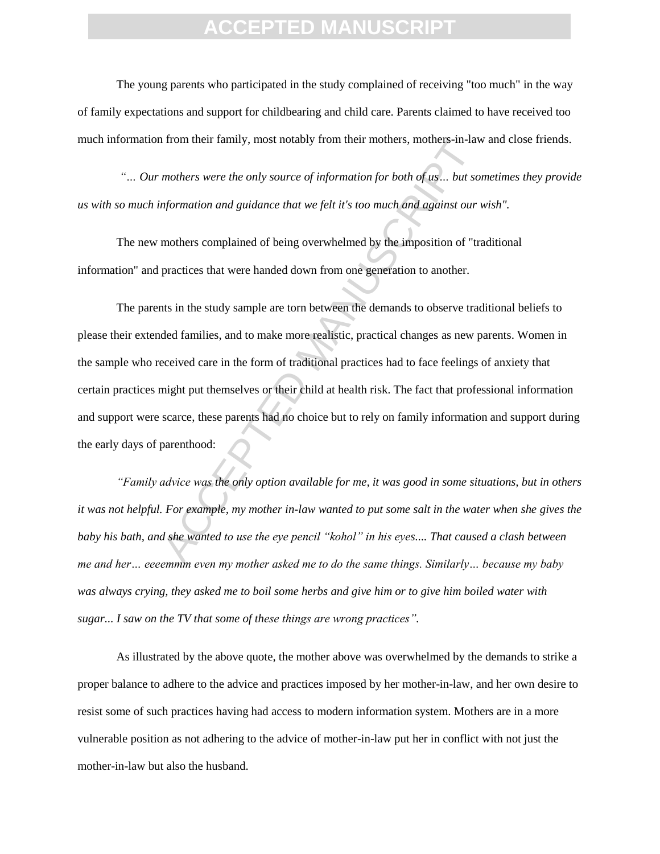### **CCEPTED MANUS**

The young parents who participated in the study complained of receiving "too much" in the way of family expectations and support for childbearing and child care. Parents claimed to have received too much information from their family, most notably from their mothers, mothers-in-law and close friends.

*"… Our mothers were the only source of information for both of us… but sometimes they provide us with so much information and guidance that we felt it's too much and against our wish".* 

The new mothers complained of being overwhelmed by the imposition of "traditional information" and practices that were handed down from one generation to another.

Trom their raminy, most notably from their mothers, mothers-in-law<br>mothers were the only source of information for both of us... but son<br>mformation and guidance that we felt it's too much and against our y<br>mothers complain The parents in the study sample are torn between the demands to observe traditional beliefs to please their extended families, and to make more realistic, practical changes as new parents. Women in the sample who received care in the form of traditional practices had to face feelings of anxiety that certain practices might put themselves or their child at health risk. The fact that professional information and support were scarce, these parents had no choice but to rely on family information and support during the early days of parenthood:

*"Family advice was the only option available for me, it was good in some situations, but in others it was not helpful. For example, my mother in-law wanted to put some salt in the water when she gives the baby his bath, and she wanted to use the eye pencil "kohol" in his eyes.... That caused a clash between me and her… eeeemmm even my mother asked me to do the same things. Similarly… because my baby was always crying, they asked me to boil some herbs and give him or to give him boiled water with sugar... I saw on the TV that some of these things are wrong practices".* 

As illustrated by the above quote, the mother above was overwhelmed by the demands to strike a proper balance to adhere to the advice and practices imposed by her mother-in-law, and her own desire to resist some of such practices having had access to modern information system. Mothers are in a more vulnerable position as not adhering to the advice of mother-in-law put her in conflict with not just the mother-in-law but also the husband.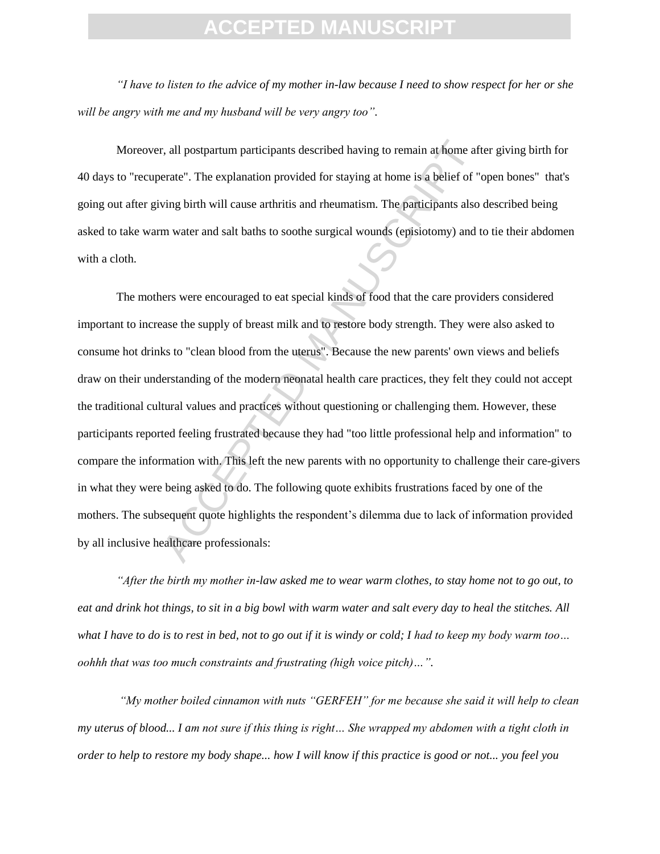# **CCEPTED MANUSC**

*"I have to listen to the advice of my mother in-law because I need to show respect for her or she will be angry with me and my husband will be very angry too".* 

Moreover, all postpartum participants described having to remain at home after giving birth for 40 days to "recuperate". The explanation provided for staying at home is a belief of "open bones" that's going out after giving birth will cause arthritis and rheumatism. The participants also described being asked to take warm water and salt baths to soothe surgical wounds (episiotomy) and to tie their abdomen with a cloth.

r, all postpartum participants described having to remain at home afterate". The explanation provided for staying at home is a belief of "ving birth will cause arthritis and rheumatism. The participants also m water and sa The mothers were encouraged to eat special kinds of food that the care providers considered important to increase the supply of breast milk and to restore body strength. They were also asked to consume hot drinks to "clean blood from the uterus". Because the new parents' own views and beliefs draw on their understanding of the modern neonatal health care practices, they felt they could not accept the traditional cultural values and practices without questioning or challenging them. However, these participants reported feeling frustrated because they had "too little professional help and information" to compare the information with. This left the new parents with no opportunity to challenge their care-givers in what they were being asked to do. The following quote exhibits frustrations faced by one of the mothers. The subsequent quote highlights the respondent's dilemma due to lack of information provided by all inclusive healthcare professionals:

*"After the birth my mother in-law asked me to wear warm clothes, to stay home not to go out, to eat and drink hot things, to sit in a big bowl with warm water and salt every day to heal the stitches. All what I have to do is to rest in bed, not to go out if it is windy or cold; I had to keep my body warm too… oohhh that was too much constraints and frustrating (high voice pitch)…".* 

*"My mother boiled cinnamon with nuts "GERFEH" for me because she said it will help to clean my uterus of blood... I am not sure if this thing is right… She wrapped my abdomen with a tight cloth in order to help to restore my body shape... how I will know if this practice is good or not... you feel you*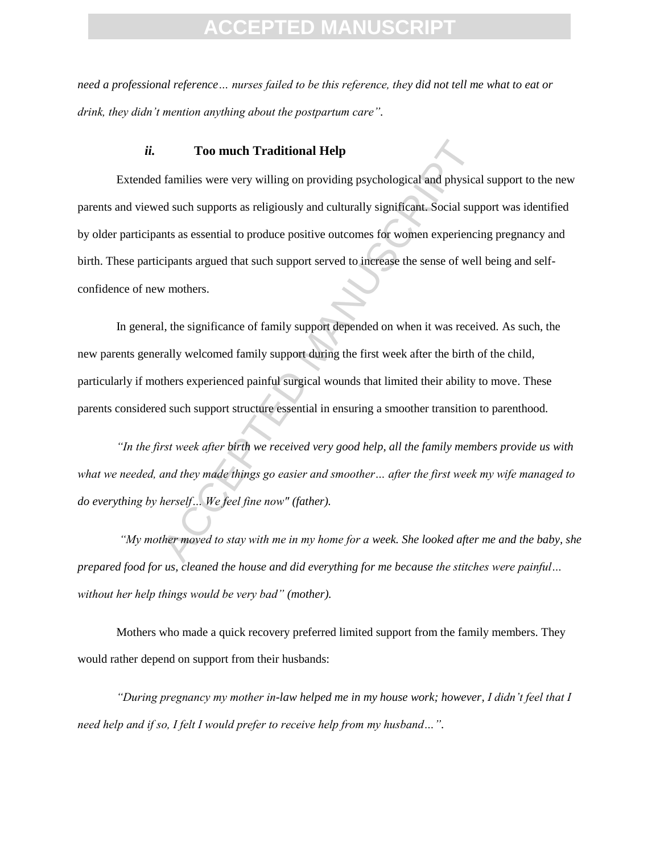### **CCEPTED MANUSC**

*need a professional reference… nurses failed to be this reference, they did not tell me what to eat or drink, they didn't mention anything about the postpartum care".* 

#### *ii.* **Too much Traditional Help**

Too much Traditional Help<br>
families were very willing on providing psychological and physical<br>
d such supports as religiously and culturally significant. Social supports<br>
as essential to produce positive outcomes for women Extended families were very willing on providing psychological and physical support to the new parents and viewed such supports as religiously and culturally significant. Social support was identified by older participants as essential to produce positive outcomes for women experiencing pregnancy and birth. These participants argued that such support served to increase the sense of well being and selfconfidence of new mothers.

In general, the significance of family support depended on when it was received. As such, the new parents generally welcomed family support during the first week after the birth of the child, particularly if mothers experienced painful surgical wounds that limited their ability to move. These parents considered such support structure essential in ensuring a smoother transition to parenthood.

*"In the first week after birth we received very good help, all the family members provide us with what we needed, and they made things go easier and smoother… after the first week my wife managed to do everything by herself… We feel fine now" (father).* 

*"My mother moved to stay with me in my home for a week. She looked after me and the baby, she prepared food for us, cleaned the house and did everything for me because the stitches were painful… without her help things would be very bad" (mother).* 

Mothers who made a quick recovery preferred limited support from the family members. They would rather depend on support from their husbands:

*"During pregnancy my mother in-law helped me in my house work; however, I didn't feel that I need help and if so, I felt I would prefer to receive help from my husband…".*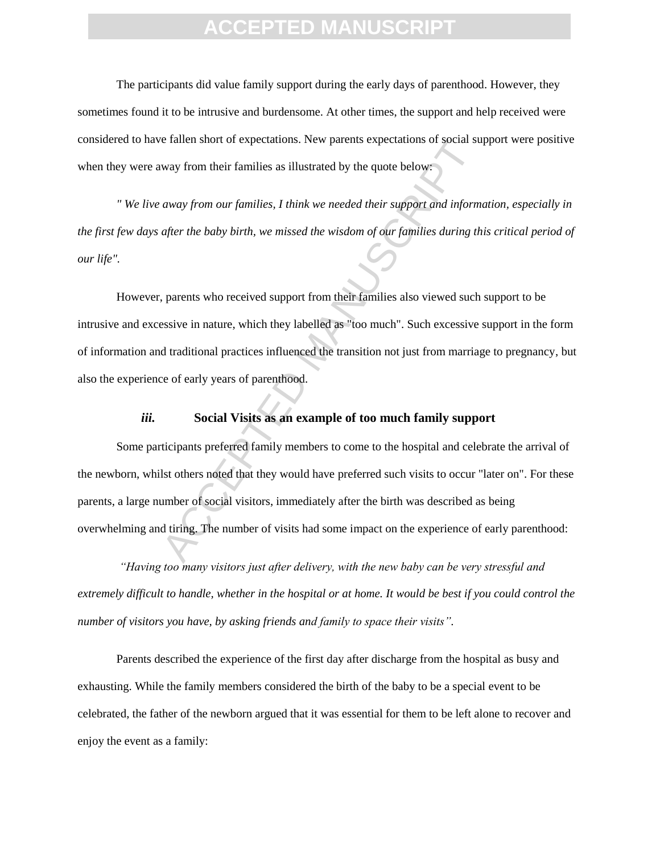The participants did value family support during the early days of parenthood. However, they sometimes found it to be intrusive and burdensome. At other times, the support and help received were considered to have fallen short of expectations. New parents expectations of social support were positive when they were away from their families as illustrated by the quote below:

*" We live away from our families, I think we needed their support and information, especially in the first few days after the baby birth, we missed the wisdom of our families during this critical period of our life".* 

However, parents who received support from their families also viewed such support to be intrusive and excessive in nature, which they labelled as "too much". Such excessive support in the form of information and traditional practices influenced the transition not just from marriage to pregnancy, but also the experience of early years of parenthood.

### *iii.* **Social Visits as an example of too much family support**

e railen short of expectations. New parents expectations of social sum<br>way from their families as illustrated by the quote below:<br>away from our families, I think we needed their support and inform<br>after the baby birth, we Some participants preferred family members to come to the hospital and celebrate the arrival of the newborn, whilst others noted that they would have preferred such visits to occur "later on". For these parents, a large number of social visitors, immediately after the birth was described as being overwhelming and tiring. The number of visits had some impact on the experience of early parenthood:

*"Having too many visitors just after delivery, with the new baby can be very stressful and extremely difficult to handle, whether in the hospital or at home. It would be best if you could control the number of visitors you have, by asking friends and family to space their visits".* 

Parents described the experience of the first day after discharge from the hospital as busy and exhausting. While the family members considered the birth of the baby to be a special event to be celebrated, the father of the newborn argued that it was essential for them to be left alone to recover and enjoy the event as a family: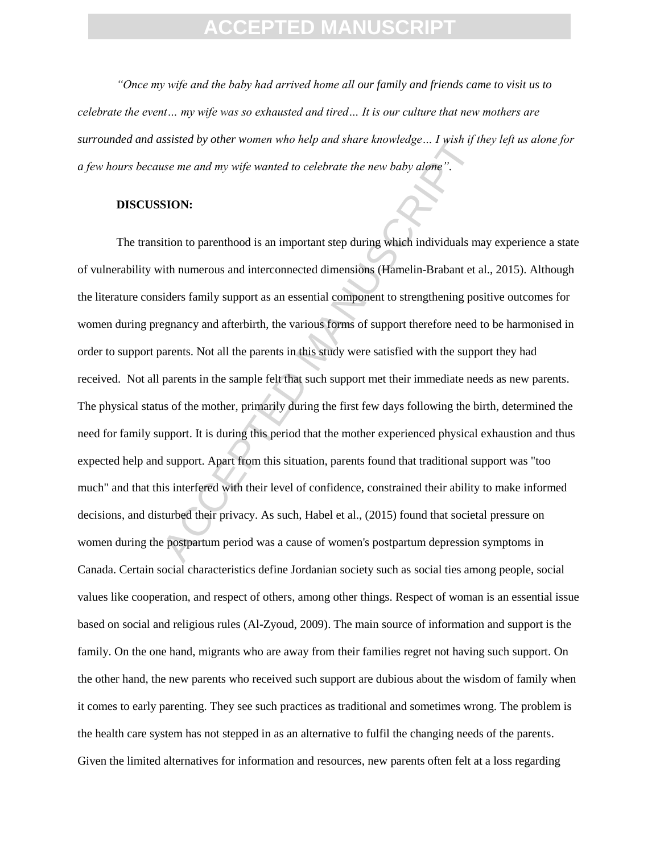*"Once my wife and the baby had arrived home all our family and friends came to visit us to celebrate the event… my wife was so exhausted and tired… It is our culture that new mothers are surrounded and assisted by other women who help and share knowledge… I wish if they left us alone for a few hours because me and my wife wanted to celebrate the new baby alone".* 

#### **DISCUSSION:**

Sististed by omer women who neip and share knowledge... I yish if it<br>sise me and my wife wanted to celebrate the new baby alone".<br>
SION:<br>
SION:<br>
SION:<br>
SION:<br>
SION:<br>
SION:<br>
ACCEPTED MANUSCRIPT SIDE THEORY OF THEORY OF THEO The transition to parenthood is an important step during which individuals may experience a state of vulnerability with numerous and interconnected dimensions (Hamelin-Brabant et al., 2015). Although the literature considers family support as an essential component to strengthening positive outcomes for women during pregnancy and afterbirth, the various forms of support therefore need to be harmonised in order to support parents. Not all the parents in this study were satisfied with the support they had received. Not all parents in the sample felt that such support met their immediate needs as new parents. The physical status of the mother, primarily during the first few days following the birth, determined the need for family support. It is during this period that the mother experienced physical exhaustion and thus expected help and support. Apart from this situation, parents found that traditional support was "too much" and that this interfered with their level of confidence, constrained their ability to make informed decisions, and disturbed their privacy. As such, Habel et al., (2015) found that societal pressure on women during the postpartum period was a cause of women's postpartum depression symptoms in Canada. Certain social characteristics define Jordanian society such as social ties among people, social values like cooperation, and respect of others, among other things. Respect of woman is an essential issue based on social and religious rules (Al-Zyoud, 2009). The main source of information and support is the family. On the one hand, migrants who are away from their families regret not having such support. On the other hand, the new parents who received such support are dubious about the wisdom of family when it comes to early parenting. They see such practices as traditional and sometimes wrong. The problem is the health care system has not stepped in as an alternative to fulfil the changing needs of the parents. Given the limited alternatives for information and resources, new parents often felt at a loss regarding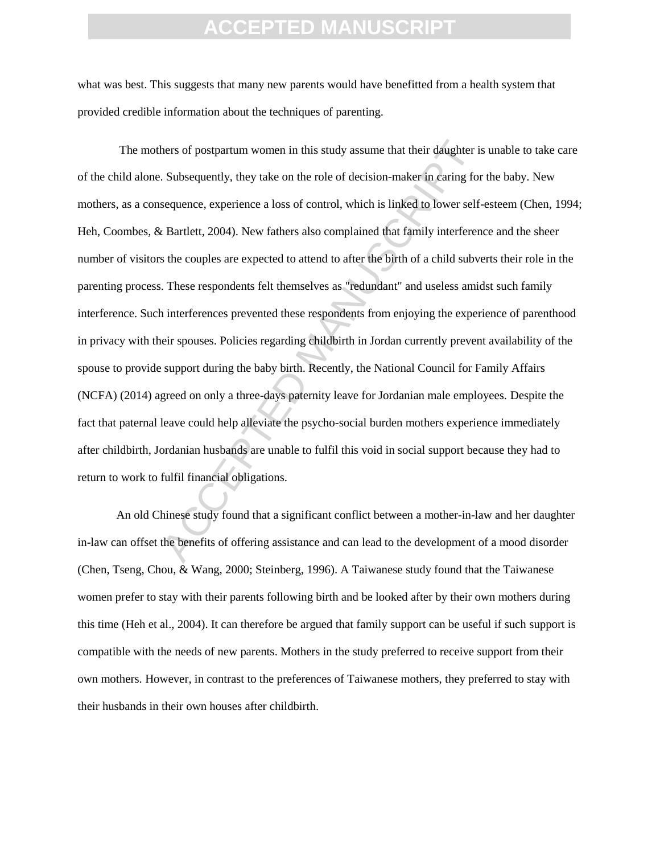what was best. This suggests that many new parents would have benefitted from a health system that provided credible information about the techniques of parenting.

hers of postpartum women in this study assume that their daughter is.<br>Subsequently, they take on the role of decision-maker in caring for<br>sequence, experience a loss of control, which is linked to lower self-<br>E Bartlett, 2 The mothers of postpartum women in this study assume that their daughter is unable to take care of the child alone. Subsequently, they take on the role of decision-maker in caring for the baby. New mothers, as a consequence, experience a loss of control, which is linked to lower self-esteem (Chen, 1994; Heh, Coombes, & Bartlett, 2004). New fathers also complained that family interference and the sheer number of visitors the couples are expected to attend to after the birth of a child subverts their role in the parenting process. These respondents felt themselves as "redundant" and useless amidst such family interference. Such interferences prevented these respondents from enjoying the experience of parenthood in privacy with their spouses. Policies regarding childbirth in Jordan currently prevent availability of the spouse to provide support during the baby birth. Recently, the National Council for Family Affairs (NCFA) (2014) agreed on only a three-days paternity leave for Jordanian male employees. Despite the fact that paternal leave could help alleviate the psycho-social burden mothers experience immediately after childbirth, Jordanian husbands are unable to fulfil this void in social support because they had to return to work to fulfil financial obligations.

An old Chinese study found that a significant conflict between a mother-in-law and her daughter in-law can offset the benefits of offering assistance and can lead to the development of a mood disorder (Chen, Tseng, Chou, & Wang, 2000; Steinberg, 1996). A Taiwanese study found that the Taiwanese women prefer to stay with their parents following birth and be looked after by their own mothers during this time (Heh et al., 2004). It can therefore be argued that family support can be useful if such support is compatible with the needs of new parents. Mothers in the study preferred to receive support from their own mothers. However, in contrast to the preferences of Taiwanese mothers, they preferred to stay with their husbands in their own houses after childbirth.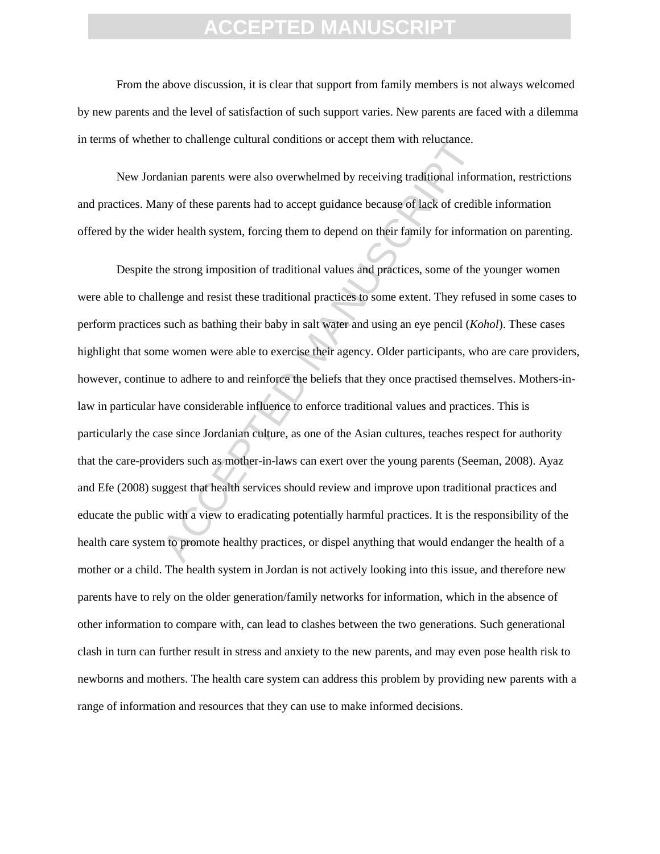From the above discussion, it is clear that support from family members is not always welcomed by new parents and the level of satisfaction of such support varies. New parents are faced with a dilemma in terms of whether to challenge cultural conditions or accept them with reluctance.

New Jordanian parents were also overwhelmed by receiving traditional information, restrictions and practices. Many of these parents had to accept guidance because of lack of credible information offered by the wider health system, forcing them to depend on their family for information on parenting.

er to challenge cultural conduons or accept them with reluciance.<br>Manian parents were also overwhelmed by receiving traditional inform<br>my of these parents had to accept guidance because of lack of credib<br>der health system, Despite the strong imposition of traditional values and practices, some of the younger women were able to challenge and resist these traditional practices to some extent. They refused in some cases to perform practices such as bathing their baby in salt water and using an eye pencil (*Kohol*). These cases highlight that some women were able to exercise their agency. Older participants, who are care providers, however, continue to adhere to and reinforce the beliefs that they once practised themselves. Mothers-inlaw in particular have considerable influence to enforce traditional values and practices. This is particularly the case since Jordanian culture, as one of the Asian cultures, teaches respect for authority that the care-providers such as mother-in-laws can exert over the young parents (Seeman, 2008). Ayaz and Efe (2008) suggest that health services should review and improve upon traditional practices and educate the public with a view to eradicating potentially harmful practices. It is the responsibility of the health care system to promote healthy practices, or dispel anything that would endanger the health of a mother or a child. The health system in Jordan is not actively looking into this issue, and therefore new parents have to rely on the older generation/family networks for information, which in the absence of other information to compare with, can lead to clashes between the two generations. Such generational clash in turn can further result in stress and anxiety to the new parents, and may even pose health risk to newborns and mothers. The health care system can address this problem by providing new parents with a range of information and resources that they can use to make informed decisions.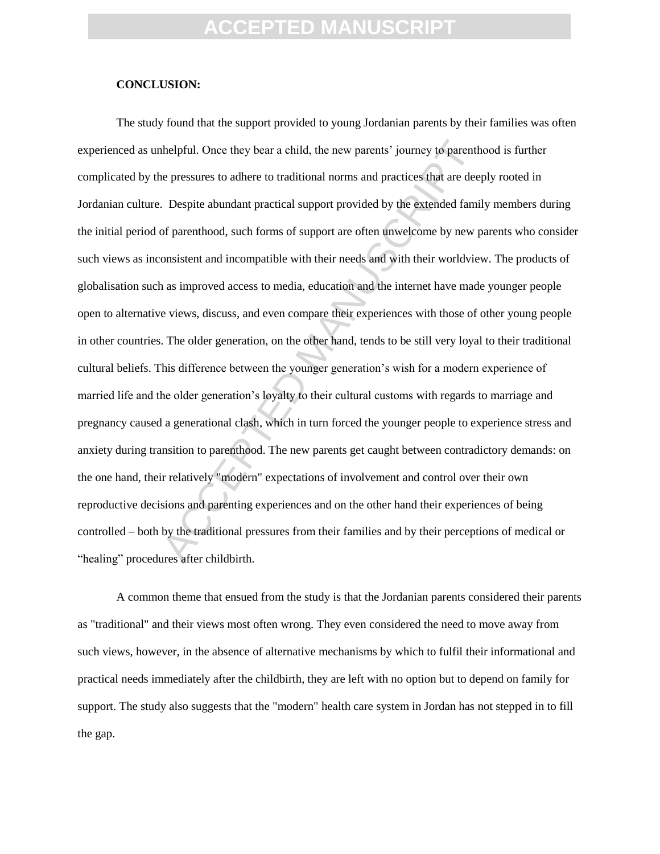#### **CONCLUSION:**

thelpful. Once they bear a child, the new parents' journey to parenth<br>the pressures to adhere to traditional norms and practices that are deep<br>. Despite abundant practical support provided by the extended famil<br>of parentho The study found that the support provided to young Jordanian parents by their families was often experienced as unhelpful. Once they bear a child, the new parents' journey to parenthood is further complicated by the pressures to adhere to traditional norms and practices that are deeply rooted in Jordanian culture. Despite abundant practical support provided by the extended family members during the initial period of parenthood, such forms of support are often unwelcome by new parents who consider such views as inconsistent and incompatible with their needs and with their worldview. The products of globalisation such as improved access to media, education and the internet have made younger people open to alternative views, discuss, and even compare their experiences with those of other young people in other countries. The older generation, on the other hand, tends to be still very loyal to their traditional cultural beliefs. This difference between the younger generation's wish for a modern experience of married life and the older generation's loyalty to their cultural customs with regards to marriage and pregnancy caused a generational clash, which in turn forced the younger people to experience stress and anxiety during transition to parenthood. The new parents get caught between contradictory demands: on the one hand, their relatively "modern" expectations of involvement and control over their own reproductive decisions and parenting experiences and on the other hand their experiences of being controlled – both by the traditional pressures from their families and by their perceptions of medical or "healing" procedures after childbirth.

A common theme that ensued from the study is that the Jordanian parents considered their parents as "traditional" and their views most often wrong. They even considered the need to move away from such views, however, in the absence of alternative mechanisms by which to fulfil their informational and practical needs immediately after the childbirth, they are left with no option but to depend on family for support. The study also suggests that the "modern" health care system in Jordan has not stepped in to fill the gap.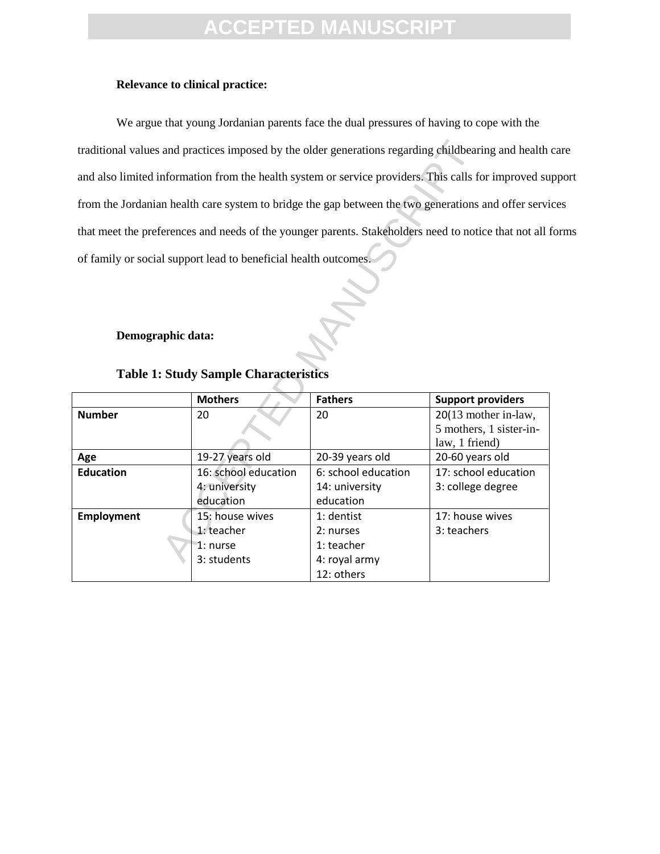### **Relevance to clinical practice:**

We argue that young Jordanian parents face the dual pressures of having to cope with the traditional values and practices imposed by the older generations regarding childbearing and health care and also limited information from the health system or service providers. This calls for improved support from the Jordanian health care system to bridge the gap between the two generations and offer services that meet the preferences and needs of the younger parents. Stakeholders need to notice that not all forms of family or social support lead to beneficial health outcomes.

### **Demographic data:**

| traditional values and practices imposed by the older generations regarding childbearing and health  |                      |                     |                                                                   |  |
|------------------------------------------------------------------------------------------------------|----------------------|---------------------|-------------------------------------------------------------------|--|
| and also limited information from the health system or service providers. This calls for improved su |                      |                     |                                                                   |  |
| from the Jordanian health care system to bridge the gap between the two generations and offer servi  |                      |                     |                                                                   |  |
| that meet the preferences and needs of the younger parents. Stakeholders need to notice that not all |                      |                     |                                                                   |  |
| of family or social support lead to beneficial health outcomes.                                      |                      |                     |                                                                   |  |
| Demographic data:<br><b>Table 1: Study Sample Characteristics</b>                                    |                      |                     |                                                                   |  |
|                                                                                                      | <b>Mothers</b>       | <b>Fathers</b>      | <b>Support providers</b>                                          |  |
| <b>Number</b>                                                                                        | 20                   | 20                  | 20(13 mother in-law,<br>5 mothers, 1 sister-in-<br>law, 1 friend) |  |
| Age                                                                                                  | 19-27 years old      | 20-39 years old     | 20-60 years old                                                   |  |
| <b>Education</b>                                                                                     | 16: school education | 6: school education | 17: school education                                              |  |
|                                                                                                      | 4: university        | 14: university      | 3: college degree                                                 |  |
|                                                                                                      | education            | education           |                                                                   |  |
| <b>Employment</b>                                                                                    | 15: house wives      | 1: dentist          | 17: house wives                                                   |  |
|                                                                                                      | 1: teacher           | 2: nurses           | 3: teachers                                                       |  |
| 1: nurse                                                                                             |                      | 1: teacher          |                                                                   |  |
|                                                                                                      | 3: students          | 4: royal army       |                                                                   |  |
|                                                                                                      |                      | 12: others          |                                                                   |  |

### **Table 1: Study Sample Characteristics**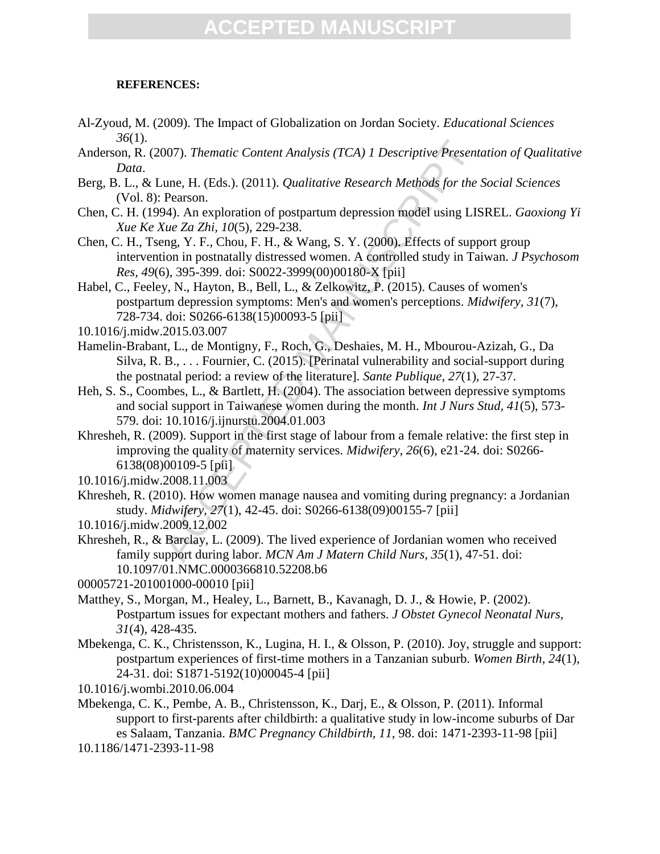### **REFERENCES:**

- Al-Zyoud, M. (2009). The Impact of Globalization on Jordan Society. *Educational Sciences 36*(1).
- Anderson, R. (2007). *Thematic Content Analysis (TCA) 1 Descriptive Presentation of Qualitative Data*.
- Berg, B. L., & Lune, H. (Eds.). (2011). *Qualitative Research Methods for the Social Sciences*  (Vol. 8): Pearson.
- Chen, C. H. (1994). An exploration of postpartum depression model using LISREL. *Gaoxiong Yi Xue Ke Xue Za Zhi, 10*(5), 229-238.
- Chen, C. H., Tseng, Y. F., Chou, F. H., & Wang, S. Y. (2000). Effects of support group intervention in postnatally distressed women. A controlled study in Taiwan. *J Psychosom Res, 49*(6), 395-399. doi: S0022-3999(00)00180-X [pii]
- 007). Thematic Content Analysis (TCA) 1 Descriptive Present<br>
une, H. (Eds.). (2011). Qualitative Research Methods for the :<br>
Pearson.<br>
94). An exploration of postpartum depression model using LIS<br>
Xue Za Zhi, 10(5), 229-2 Habel, C., Feeley, N., Hayton, B., Bell, L., & Zelkowitz, P. (2015). Causes of women's postpartum depression symptoms: Men's and women's perceptions. *Midwifery, 31*(7), 728-734. doi: S0266-6138(15)00093-5 [pii]
- 10.1016/j.midw.2015.03.007
- Hamelin-Brabant, L., de Montigny, F., Roch, G., Deshaies, M. H., Mbourou-Azizah, G., Da Silva, R. B., . . . Fournier, C. (2015). [Perinatal vulnerability and social-support during the postnatal period: a review of the literature]. *Sante Publique, 27*(1), 27-37.
- Heh, S. S., Coombes, L., & Bartlett, H. (2004). The association between depressive symptoms and social support in Taiwanese women during the month. *Int J Nurs Stud, 41*(5), 573- 579. doi: 10.1016/j.ijnurstu.2004.01.003
- Khresheh, R. (2009). Support in the first stage of labour from a female relative: the first step in improving the quality of maternity services. *Midwifery, 26*(6), e21-24. doi: S0266- 6138(08)00109-5 [pii]
- 10.1016/j.midw.2008.11.003
- Khresheh, R. (2010). How women manage nausea and vomiting during pregnancy: a Jordanian study. *Midwifery, 27*(1), 42-45. doi: S0266-6138(09)00155-7 [pii]
- 10.1016/j.midw.2009.12.002
- Khresheh, R., & Barclay, L. (2009). The lived experience of Jordanian women who received family support during labor. *MCN Am J Matern Child Nurs, 35*(1), 47-51. doi: 10.1097/01.NMC.0000366810.52208.b6
- 00005721-201001000-00010 [pii]
- Matthey, S., Morgan, M., Healey, L., Barnett, B., Kavanagh, D. J., & Howie, P. (2002). Postpartum issues for expectant mothers and fathers. *J Obstet Gynecol Neonatal Nurs, 31*(4), 428-435.
- Mbekenga, C. K., Christensson, K., Lugina, H. I., & Olsson, P. (2010). Joy, struggle and support: postpartum experiences of first-time mothers in a Tanzanian suburb. *Women Birth, 24*(1), 24-31. doi: S1871-5192(10)00045-4 [pii]
- 10.1016/j.wombi.2010.06.004
- Mbekenga, C. K., Pembe, A. B., Christensson, K., Darj, E., & Olsson, P. (2011). Informal support to first-parents after childbirth: a qualitative study in low-income suburbs of Dar es Salaam, Tanzania. *BMC Pregnancy Childbirth, 11*, 98. doi: 1471-2393-11-98 [pii] 10.1186/1471-2393-11-98